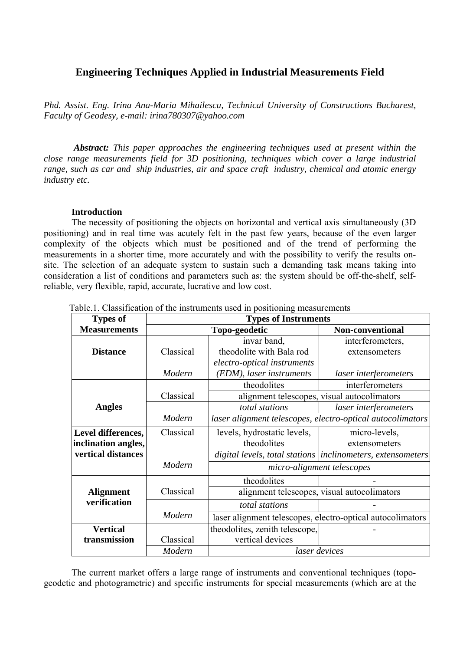# **Engineering Techniques Applied in Industrial Measurements Field**

*Phd. Assist. Eng. Irina Ana-Maria Mihailescu, Technical University of Constructions Bucharest, Faculty of Geodesy, e-mail: irina780307@yahoo.com*

*Abstract: This paper approaches the engineering techniques used at present within the close range measurements field for 3D positioning, techniques which cover a large industrial range, such as car and ship industries, air and space craft industry, chemical and atomic energy industry etc.* 

## **Introduction**

The necessity of positioning the objects on horizontal and vertical axis simultaneously (3D positioning) and in real time was acutely felt in the past few years, because of the even larger complexity of the objects which must be positioned and of the trend of performing the measurements in a shorter time, more accurately and with the possibility to verify the results onsite. The selection of an adequate system to sustain such a demanding task means taking into consideration a list of conditions and parameters such as: the system should be off-the-shelf, selfreliable, very flexible, rapid, accurate, lucrative and low cost.

| <b>Types of</b>     | <b>Types of Instruments</b> |                                |                                                              |
|---------------------|-----------------------------|--------------------------------|--------------------------------------------------------------|
| <b>Measurements</b> |                             | Topo-geodetic                  | Non-conventional                                             |
|                     |                             | invar band,                    | interferometers,                                             |
| <b>Distance</b>     | Classical                   | theodolite with Bala rod       | extensometers                                                |
|                     |                             | electro-optical instruments    |                                                              |
|                     | Modern                      | (EDM), laser instruments       | laser interferometers                                        |
|                     |                             | theodolites                    | interferometers                                              |
|                     | Classical                   |                                | alignment telescopes, visual autocolimators                  |
| <b>Angles</b>       |                             | total stations                 | laser interferometers                                        |
|                     | Modern                      |                                | laser alignment telescopes, electro-optical autocolimators   |
| Level differences,  | Classical                   | levels, hydrostatic levels,    | micro-levels,                                                |
| inclination angles, |                             | theodolites                    | extensometers                                                |
| vertical distances  |                             |                                | digital levels, total stations  inclinometers, extensometers |
|                     | Modern                      | micro-alignment telescopes     |                                                              |
|                     |                             | theodolites                    |                                                              |
| <b>Alignment</b>    | Classical                   |                                | alignment telescopes, visual autocolimators                  |
| verification        |                             | total stations                 |                                                              |
|                     | Modern                      |                                | laser alignment telescopes, electro-optical autocolimators   |
| <b>Vertical</b>     |                             | theodolites, zenith telescope, |                                                              |
| transmission        | Classical                   | vertical devices               |                                                              |
|                     | Modern                      |                                | laser devices                                                |

Table.1. Classification of the instruments used in positioning measurements

The current market offers a large range of instruments and conventional techniques (topogeodetic and photogrametric) and specific instruments for special measurements (which are at the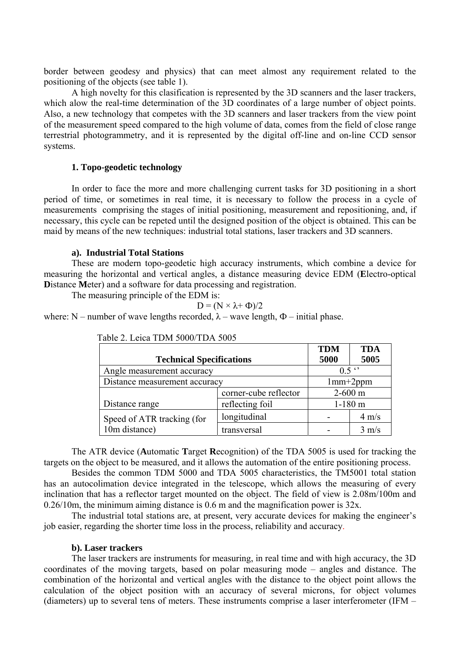border between geodesy and physics) that can meet almost any requirement related to the positioning of the objects (see table 1).

A high novelty for this clasification is represented by the 3D scanners and the laser trackers, which alow the real-time determination of the 3D coordinates of a large number of object points. Also, a new technology that competes with the 3D scanners and laser trackers from the view point of the measurement speed compared to the high volume of data, comes from the field of close range terrestrial photogrammetry, and it is represented by the digital off-line and on-line CCD sensor systems.

## **1. Topo-geodetic technology**

In order to face the more and more challenging current tasks for 3D positioning in a short period of time, or sometimes in real time, it is necessary to follow the process in a cycle of measurements comprising the stages of initial positioning, measurement and repositioning, and, if necessary, this cycle can be repeted until the designed position of the object is obtained. This can be maid by means of the new techniques: industrial total stations, laser trackers and 3D scanners.

#### **a). Industrial Total Stations**

These are modern topo-geodetic high accuracy instruments, which combine a device for measuring the horizontal and vertical angles, a distance measuring device EDM (**E**lectro-optical **D**istance **M**eter) and a software for data processing and registration.

The measuring principle of the EDM is:

$$
D = (N \times \lambda + \Phi)/2
$$

where: N – number of wave lengths recorded,  $\lambda$  – wave length,  $\Phi$  – initial phase.

|                                 |                       | <b>TDM</b>    | <b>TDA</b>      |
|---------------------------------|-----------------------|---------------|-----------------|
| <b>Technical Specifications</b> |                       | 5000          | 5005            |
| Angle measurement accuracy      |                       | $0.5$ $\cdot$ |                 |
| Distance measurement accuracy   |                       | $1mm+2ppm$    |                 |
|                                 | corner-cube reflector | $2 - 600$ m   |                 |
| Distance range                  | reflecting foil       |               | $1-180$ m       |
| Speed of ATR tracking (for      | longitudinal          |               | $4 \text{ m/s}$ |
| 10m distance)                   | transversal           |               | $3 \text{ m/s}$ |

| Table 2. Leica TDM 5000/TDA 5005 |
|----------------------------------|
|----------------------------------|

The ATR device (**A**utomatic **T**arget **R**ecognition) of the TDA 5005 is used for tracking the targets on the object to be measured, and it allows the automation of the entire positioning process.

Besides the common TDM 5000 and TDA 5005 characteristics, the TM5001 total station has an autocolimation device integrated in the telescope, which allows the measuring of every inclination that has a reflector target mounted on the object. The field of view is 2.08m/100m and 0.26/10m, the minimum aiming distance is 0.6 m and the magnification power is  $32x$ .

The industrial total stations are, at present, very accurate devices for making the engineer's job easier, regarding the shorter time loss in the process, reliability and accuracy.

#### **b). Laser trackers**

The laser trackers are instruments for measuring, in real time and with high accuracy, the 3D coordinates of the moving targets, based on polar measuring mode – angles and distance. The combination of the horizontal and vertical angles with the distance to the object point allows the calculation of the object position with an accuracy of several microns, for object volumes (diameters) up to several tens of meters. These instruments comprise a laser interferometer (IFM –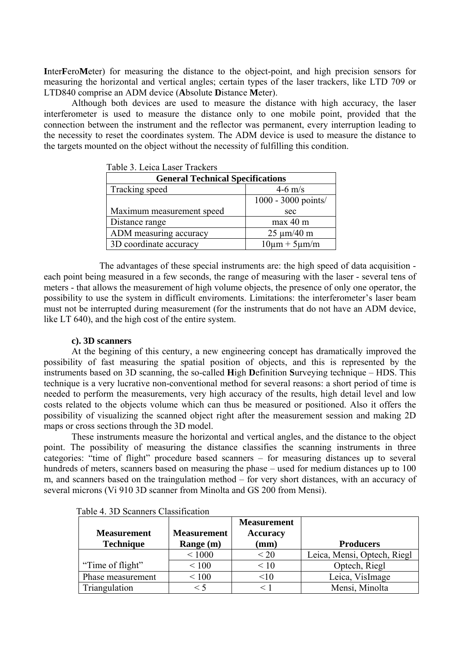**I**nter**F**ero**M**eter) for measuring the distance to the object-point, and high precision sensors for measuring the horizontal and vertical angles; certain types of the laser trackers, like LTD 709 or LTD840 comprise an ADM device (**A**bsolute **D**istance **M**eter).

Although both devices are used to measure the distance with high accuracy, the laser interferometer is used to measure the distance only to one mobile point, provided that the connection between the instrument and the reflector was permanent, every interruption leading to the necessity to reset the coordinates system. The ADM device is used to measure the distance to the targets mounted on the object without the necessity of fulfilling this condition.

| Table 5. Leita Lasel Tiatreis           |                       |  |  |
|-----------------------------------------|-----------------------|--|--|
| <b>General Technical Specifications</b> |                       |  |  |
| Tracking speed<br>$4-6$ m/s             |                       |  |  |
|                                         | $1000 - 3000$ points/ |  |  |
| Maximum measurement speed               | sec                   |  |  |
| Distance range                          | max 40 m              |  |  |
| ADM measuring accuracy                  | $25 \mu m/40 m$       |  |  |
| 3D coordinate accuracy                  | $10\mu m + 5\mu m/m$  |  |  |

Table 3. Leica Laser Trackers

 The advantages of these special instruments are: the high speed of data acquisition each point being measured in a few seconds, the range of measuring with the laser - several tens of meters - that allows the measurement of high volume objects, the presence of only one operator, the possibility to use the system in difficult enviroments. Limitations: the interferometer's laser beam must not be interrupted during measurement (for the instruments that do not have an ADM device, like LT 640), and the high cost of the entire system.

#### **c). 3D scanners**

At the begining of this century, a new engineering concept has dramatically improved the possibility of fast measuring the spatial position of objects, and this is represented by the instruments based on 3D scanning, the so-called **H**igh **D**efinition **S**urveying technique – HDS. This technique is a very lucrative non-conventional method for several reasons: a short period of time is needed to perform the measurements, very high accuracy of the results, high detail level and low costs related to the objects volume which can thus be measured or positioned. Also it offers the possibility of visualizing the scanned object right after the measurement session and making 2D maps or cross sections through the 3D model.

These instruments measure the horizontal and vertical angles, and the distance to the object point. The possibility of measuring the distance classifies the scanning instruments in three categories: "time of flight" procedure based scanners – for measuring distances up to several hundreds of meters, scanners based on measuring the phase – used for medium distances up to 100 m, and scanners based on the traingulation method – for very short distances, with an accuracy of several microns (Vi 910 3D scanner from Minolta and GS 200 from Mensi).

|                    |                    | <b>Measurement</b> |                             |
|--------------------|--------------------|--------------------|-----------------------------|
| <b>Measurement</b> | <b>Measurement</b> | <b>Accuracy</b>    |                             |
| <b>Technique</b>   | Range (m)          | $(\mathbf{mm})$    | <b>Producers</b>            |
|                    | ${}< 1000$         | < 20               | Leica, Mensi, Optech, Riegl |
| "Time of flight"   | < 100              | $\leq 10$          | Optech, Riegl               |
| Phase measurement  | < 100              | <10                | Leica, VisImage             |
| Triangulation      | < 5                |                    | Mensi, Minolta              |

| Table 4. 3D Scanners Classification |  |  |
|-------------------------------------|--|--|
|-------------------------------------|--|--|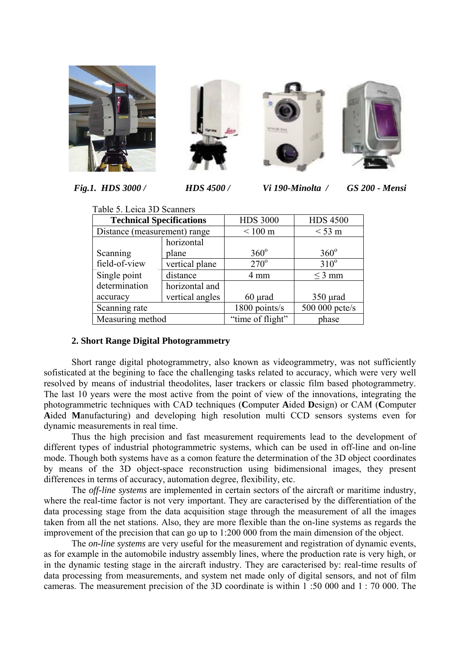







 *Fig.1. HDS 3000 / HDS 4500 / Vi 190-Minolta / GS 200 - Mensi* 

|                              | Table 5. Leica 3D Scanners      |                   |                 |
|------------------------------|---------------------------------|-------------------|-----------------|
|                              | <b>Technical Specifications</b> |                   | <b>HDS 4500</b> |
| Distance (measurement) range |                                 | $< 100 \text{ m}$ | $<$ 53 m        |
|                              | horizontal                      |                   |                 |
| Scanning                     | plane                           | $360^\circ$       | $360^\circ$     |
| field-of-view                | vertical plane                  | $270^\circ$       | $310^\circ$     |
| Single point                 | distance                        | 4 mm              | $\leq$ 3 mm     |
| determination                | horizontal and                  |                   |                 |
| accuracy                     | vertical angles                 | $60 \mu$ rad      | $350 \mu$ rad   |
| Scanning rate                |                                 |                   | 500 000 pcte/s  |
|                              | Measuring method                |                   | phase           |

# **2. Short Range Digital Photogrammetry**

 Short range digital photogrammetry, also known as videogrammetry, was not sufficiently sofisticated at the begining to face the challenging tasks related to accuracy, which were very well resolved by means of industrial theodolites, laser trackers or classic film based photogrammetry. The last 10 years were the most active from the point of view of the innovations, integrating the photogrammetric techniques with CAD techniques (**C**omputer **A**ided **D**esign) or CAM (**C**omputer **A**ided **M**anufacturing) and developing high resolution multi CCD sensors systems even for dynamic measurements in real time.

Thus the high precision and fast measurement requirements lead to the development of different types of industrial photogrammetric systems, which can be used in off-line and on-line mode. Though both systems have as a comon feature the determination of the 3D object coordinates by means of the 3D object-space reconstruction using bidimensional images, they present differences in terms of accuracy, automation degree, flexibility, etc.

The *off-line systems* are implemented in certain sectors of the aircraft or maritime industry, where the real-time factor is not very important. They are caracterised by the differentiation of the data processing stage from the data acquisition stage through the measurement of all the images taken from all the net stations. Also, they are more flexible than the on-line systems as regards the improvement of the precision that can go up to 1:200 000 from the main dimension of the object.

The *on-line systems* are very useful for the measurement and registration of dynamic events, as for example in the automobile industry assembly lines, where the production rate is very high, or in the dynamic testing stage in the aircraft industry. They are caracterised by: real-time results of data processing from measurements, and system net made only of digital sensors, and not of film cameras. The measurement precision of the 3D coordinate is within 1 :50 000 and 1 : 70 000. The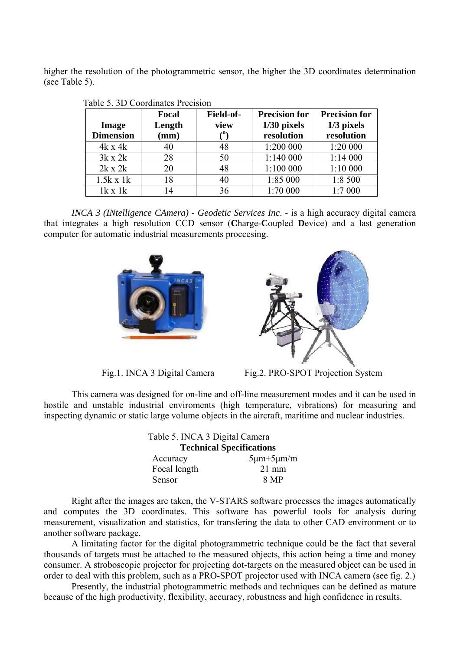higher the resolution of the photogrammetric sensor, the higher the 3D coordinates determination (see Table 5).

|                  | <b>Focal</b> | Field-of- | <b>Precision for</b> | <b>Precision for</b> |
|------------------|--------------|-----------|----------------------|----------------------|
| <b>Image</b>     | Length       | view      | $1/30$ pixels        | $1/3$ pixels         |
| <b>Dimension</b> | (mm)         |           | resolution           | resolution           |
| $4k \times 4k$   | 40           | 48        | 1:200 000            | 1:20 000             |
| $3k \times 2k$   | 28           | 50        | 1:140 000            | 1:14000              |
| $2k \times 2k$   | 20           | 48        | 1:100 000            | 1:10 000             |
| $1.5k \times 1k$ | 18           | 40        | 1:85 000             | 1:8 500              |
| $1k \times 1k$   | 14           | 36        | 1:70 000             | 1:7000               |

|  | Table 5. 3D Coordinates Precision |  |
|--|-----------------------------------|--|
|--|-----------------------------------|--|

*INCA 3 (INtelligence CAmera) - Geodetic Services Inc*. - is a high accuracy digital camera that integrates a high resolution CCD sensor (**C**harge-**C**oupled **D**evice) and a last generation computer for automatic industrial measurements proccesing.





Fig.1. INCA 3 Digital Camera Fig.2. PRO-SPOT Projection System

This camera was designed for on-line and off-line measurement modes and it can be used in hostile and unstable industrial enviroments (high temperature, vibrations) for measuring and inspecting dynamic or static large volume objects in the aircraft, maritime and nuclear industries.

|  | Table 5. INCA 3 Digital Camera<br><b>Technical Specifications</b> |                     |
|--|-------------------------------------------------------------------|---------------------|
|  |                                                                   |                     |
|  | Accuracy                                                          | $5\mu m + 5\mu m/m$ |
|  | Focal length                                                      | $21 \text{ mm}$     |
|  | Sensor                                                            | 8 MP                |

Right after the images are taken, the V-STARS software processes the images automatically and computes the 3D coordinates. This software has powerful tools for analysis during measurement, visualization and statistics, for transfering the data to other CAD environment or to another software package.

 A limitating factor for the digital photogrammetric technique could be the fact that several thousands of targets must be attached to the measured objects, this action being a time and money consumer. A stroboscopic projector for projecting dot-targets on the measured object can be used in order to deal with this problem, such as a PRO-SPOT projector used with INCA camera (see fig. 2.)

Presently, the industrial photogrammetric methods and techniques can be defined as mature because of the high productivity, flexibility, accuracy, robustness and high confidence in results.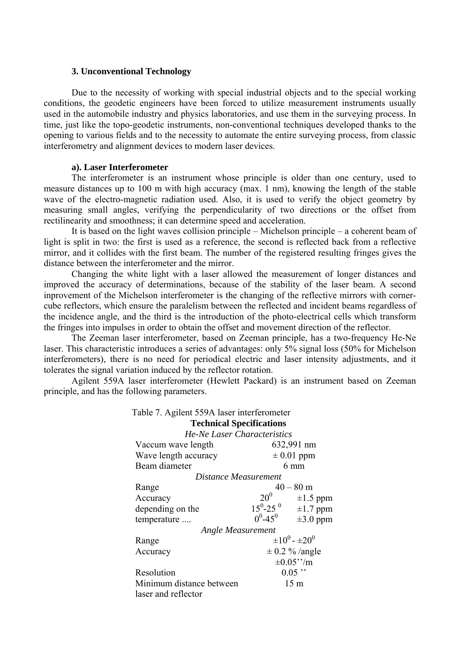#### **3. Unconventional Technology**

Due to the necessity of working with special industrial objects and to the special working conditions, the geodetic engineers have been forced to utilize measurement instruments usually used in the automobile industry and physics laboratories, and use them in the surveying process. In time, just like the topo-geodetic instruments, non-conventional techniques developed thanks to the opening to various fields and to the necessity to automate the entire surveying process, from classic interferometry and alignment devices to modern laser devices.

#### **a). Laser Interferometer**

The interferometer is an instrument whose principle is older than one century, used to measure distances up to 100 m with high accuracy (max. 1 nm), knowing the length of the stable wave of the electro-magnetic radiation used. Also, it is used to verify the object geometry by measuring small angles, verifying the perpendicularity of two directions or the offset from rectilinearity and smoothness; it can determine speed and acceleration.

It is based on the light waves collision principle – Michelson principle – a coherent beam of light is split in two: the first is used as a reference, the second is reflected back from a reflective mirror, and it collides with the first beam. The number of the registered resulting fringes gives the distance between the interferometer and the mirror.

Changing the white light with a laser allowed the measurement of longer distances and improved the accuracy of determinations, because of the stability of the laser beam. A second inprovement of the Michelson interferometer is the changing of the reflective mirrors with cornercube reflectors, which ensure the paralelism between the reflected and incident beams regardless of the incidence angle, and the third is the introduction of the photo-electrical cells which transform the fringes into impulses in order to obtain the offset and movement direction of the reflector.

 The Zeeman laser interferometer, based on Zeeman principle, has a two-frequency He-Ne laser. This characteristic introduces a series of advantages: only 5% signal loss (50% for Michelson interferometers), there is no need for periodical electric and laser intensity adjustments, and it tolerates the signal variation induced by the reflector rotation.

Agilent 559A laser interferometer (Hewlett Packard) is an instrument based on Zeeman principle, and has the following parameters.

|                             | Table 7. Agilent 559A laser interferometer |                             |  |
|-----------------------------|--------------------------------------------|-----------------------------|--|
|                             | <b>Technical Specifications</b>            |                             |  |
| He-Ne Laser Characteristics |                                            |                             |  |
| Vaccum wave length          |                                            | 632,991 nm                  |  |
| Wave length accuracy        |                                            | $\pm 0.01$ ppm              |  |
| Beam diameter               |                                            | $6 \text{ mm}$              |  |
|                             | Distance Measurement                       |                             |  |
| Range                       |                                            | $40 - 80$ m                 |  |
| Accuracy                    |                                            | $20^0$ $\pm 1.5$ ppm        |  |
| depending on the            | $15^0 - 25^0$                              | $\pm 1.7$ ppm               |  |
| temperature                 | $0^0 - 45^0$                               | $\pm 3.0$ ppm               |  |
| Angle Measurement           |                                            |                             |  |
| Range                       |                                            | $\pm 10^{0}$ - $\pm 20^{0}$ |  |
| Accuracy                    |                                            | $\pm$ 0.2 % /angle          |  |
|                             |                                            | $\pm 0.05$ "/m              |  |
| Resolution                  |                                            | $0.05$ "                    |  |
| Minimum distance between    |                                            | 15 <sub>m</sub>             |  |
| laser and reflector         |                                            |                             |  |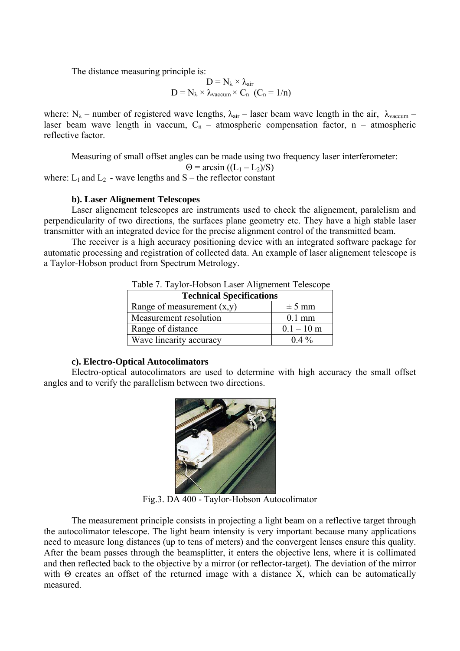The distance measuring principle is:

$$
\begin{array}{c}D=N_{\lambda}\times\lambda_{air}\\ D=N_{\lambda}\times\lambda_{vaccum}\times C_n\ (C_n=1/n)\end{array}
$$

where:  $N_{\lambda}$  – number of registered wave lengths,  $\lambda_{air}$  – laser beam wave length in the air,  $\lambda_{vacuum}$  – laser beam wave length in vaccum,  $C_n$  – atmospheric compensation factor, n – atmospheric reflective factor.

Measuring of small offset angles can be made using two frequency laser interferometer:

$$
\Theta = \arcsin ((L_1 - L_2)/S)
$$

where:  $L_1$  and  $L_2$  - wave lengths and S – the reflector constant

## **b). Laser Alignement Telescopes**

 Laser alignement telescopes are instruments used to check the alignement, paralelism and perpendicularity of two directions, the surfaces plane geometry etc. They have a high stable laser transmitter with an integrated device for the precise alignment control of the transmitted beam.

The receiver is a high accuracy positioning device with an integrated software package for automatic processing and registration of collected data. An example of laser alignement telescope is a Taylor-Hobson product from Spectrum Metrology.

| <b>Technical Specifications</b> |              |  |  |
|---------------------------------|--------------|--|--|
| Range of measurement $(x,y)$    | $\pm$ 5 mm   |  |  |
| Measurement resolution          | $0.1$ mm     |  |  |
| Range of distance               | $0.1 - 10$ m |  |  |
| Wave linearity accuracy         | $0.4\%$      |  |  |

Table 7. Taylor-Hobson Laser Alignement Telescope

## **c). Electro-Optical Autocolimators**

Electro-optical autocolimators are used to determine with high accuracy the small offset angles and to verify the parallelism between two directions.



Fig.3. DA 400 - Taylor-Hobson Autocolimator

The measurement principle consists in projecting a light beam on a reflective target through the autocolimator telescope. The light beam intensity is very important because many applications need to measure long distances (up to tens of meters) and the convergent lenses ensure this quality. After the beam passes through the beamsplitter, it enters the objective lens, where it is collimated and then reflected back to the objective by a mirror (or reflector-target). The deviation of the mirror with  $\Theta$  creates an offset of the returned image with a distance X, which can be automatically measured.